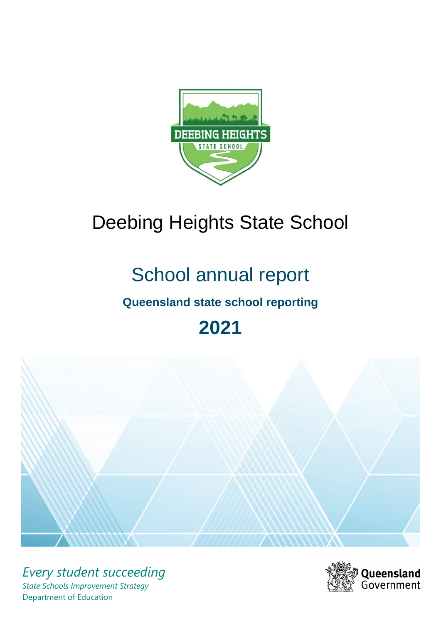

# Deebing Heights State School

# School annual report

# **Queensland state school reporting**

# **2021**



*Every student succeeding State Schools Improvement Strategy* Department of Education

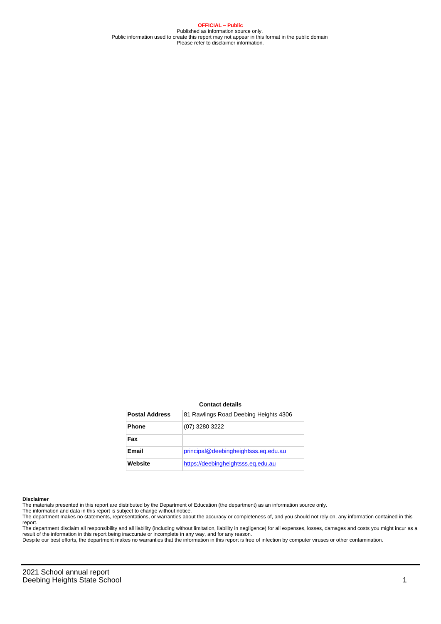**OFFICIAL – Public** Published as information source only. Public information used to create this report may not appear in this format in the public domain Please refer to disclaimer information.

#### **Contact details**

| <b>Postal Address</b> | 81 Rawlings Road Deebing Heights 4306 |
|-----------------------|---------------------------------------|
| <b>Phone</b>          | (07) 3280 3222                        |
| Fax                   |                                       |
| Email                 | principal@deebingheightsss.eq.edu.au  |
| Website               | https://deebingheightsss.eg.edu.au    |

#### **Disclaimer**

The materials presented in this report are distributed by the Department of Education (the department) as an information source only.

The information and data in this report is subject to change without notice.<br>The department makes no statements, representations, or warranties about the accuracy or completeness of, and you should not rely on, any informa report. The department disclaim all responsibility and all liability (including without limitation, liability in negligence) for all expenses, losses, damages and costs you might incur as a

result of the information in this report being inaccurate or incomplete in any way, and for any reason. Despite our best efforts, the department makes no warranties that the information in this report is free of infection by computer viruses or other contamination.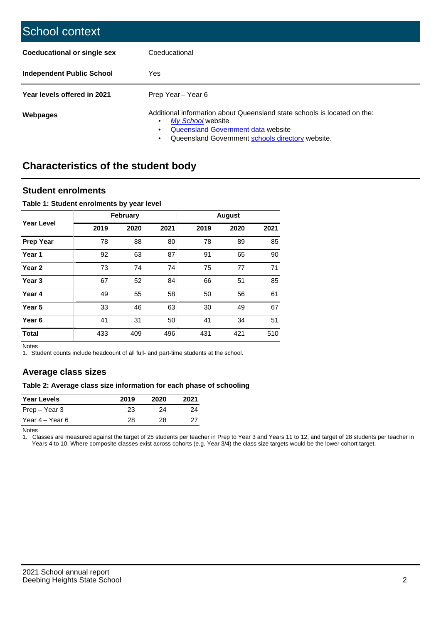| School context                   |                                                                                                                                                                                              |
|----------------------------------|----------------------------------------------------------------------------------------------------------------------------------------------------------------------------------------------|
| Coeducational or single sex      | Coeducational                                                                                                                                                                                |
| <b>Independent Public School</b> | Yes                                                                                                                                                                                          |
| Year levels offered in 2021      | Prep Year - Year 6                                                                                                                                                                           |
| Webpages                         | Additional information about Queensland state schools is located on the:<br>My School website<br>Queensland Government data website<br>Queensland Government schools directory website.<br>٠ |

# **Characteristics of the student body**

### **Student enrolments**

#### **Table 1: Student enrolments by year level**

|                   |      | <b>February</b> |      |      | <b>August</b> |      |
|-------------------|------|-----------------|------|------|---------------|------|
| <b>Year Level</b> | 2019 | 2020            | 2021 | 2019 | 2020          | 2021 |
| <b>Prep Year</b>  | 78   | 88              | 80   | 78   | 89            | 85   |
| Year 1            | 92   | 63              | 87   | 91   | 65            | 90   |
| Year 2            | 73   | 74              | 74   | 75   | 77            | 71   |
| Year <sub>3</sub> | 67   | 52              | 84   | 66   | 51            | 85   |
| Year 4            | 49   | 55              | 58   | 50   | 56            | 61   |
| Year <sub>5</sub> | 33   | 46              | 63   | 30   | 49            | 67   |
| Year <sub>6</sub> | 41   | 31              | 50   | 41   | 34            | 51   |
| <b>Total</b>      | 433  | 409             | 496  | 431  | 421           | 510  |

Notes

1. Student counts include headcount of all full- and part-time students at the school.

## **Average class sizes**

#### **Table 2: Average class size information for each phase of schooling**

| <b>Year Levels</b> | 2019 | 2020 | 2021 |
|--------------------|------|------|------|
| Prep – Year 3      | 23   | 24   | 24   |
| Year 4 – Year 6    | 28   | 28.  | 27   |

Notes

1. Classes are measured against the target of 25 students per teacher in Prep to Year 3 and Years 11 to 12, and target of 28 students per teacher in Years 4 to 10. Where composite classes exist across cohorts (e.g. Year 3/4) the class size targets would be the lower cohort target.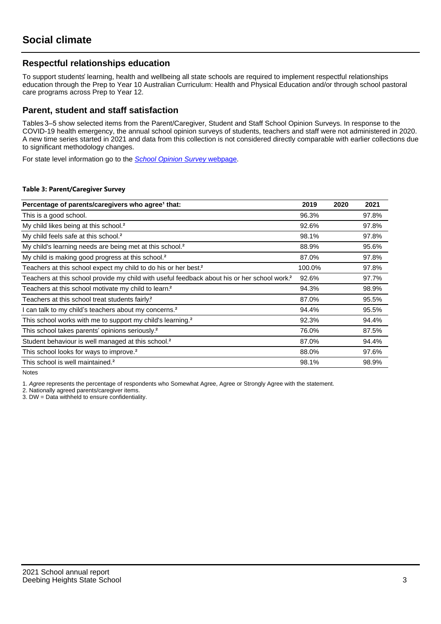## **Respectful relationships education**

To support students' learning, health and wellbeing all state schools are required to implement respectful relationships education through the Prep to Year 10 Australian Curriculum: Health and Physical Education and/or through school pastoral care programs across Prep to Year 12.

### **Parent, student and staff satisfaction**

Tables 3–5 show selected items from the Parent/Caregiver, Student and Staff School Opinion Surveys. In response to the COVID-19 health emergency, the annual school opinion surveys of students, teachers and staff were not administered in 2020. A new time series started in 2021 and data from this collection is not considered directly comparable with earlier collections due to significant methodology changes.

For state level information go to the **[School Opinion Survey](https://qed.qld.gov.au/publications/reports/statistics/schooling/schools/schoolopinionsurvey) webpage**.

#### **Table 3: Parent/Caregiver Survey**

| Percentage of parents/caregivers who agree <sup>1</sup> that:                                            | 2019   | 2020 | 2021  |
|----------------------------------------------------------------------------------------------------------|--------|------|-------|
| This is a good school.                                                                                   | 96.3%  |      | 97.8% |
| My child likes being at this school. <sup>2</sup>                                                        | 92.6%  |      | 97.8% |
| My child feels safe at this school. <sup>2</sup>                                                         | 98.1%  |      | 97.8% |
| My child's learning needs are being met at this school. <sup>2</sup>                                     | 88.9%  |      | 95.6% |
| My child is making good progress at this school. <sup>2</sup>                                            | 87.0%  |      | 97.8% |
| Teachers at this school expect my child to do his or her best. <sup>2</sup>                              | 100.0% |      | 97.8% |
| Teachers at this school provide my child with useful feedback about his or her school work. <sup>2</sup> | 92.6%  |      | 97.7% |
| Teachers at this school motivate my child to learn. <sup>2</sup>                                         | 94.3%  |      | 98.9% |
| Teachers at this school treat students fairly. <sup>2</sup>                                              | 87.0%  |      | 95.5% |
| I can talk to my child's teachers about my concerns. <sup>2</sup>                                        | 94.4%  |      | 95.5% |
| This school works with me to support my child's learning. <sup>2</sup>                                   | 92.3%  |      | 94.4% |
| This school takes parents' opinions seriously. <sup>2</sup>                                              | 76.0%  |      | 87.5% |
| Student behaviour is well managed at this school. <sup>2</sup>                                           | 87.0%  |      | 94.4% |
| This school looks for ways to improve. <sup>2</sup>                                                      | 88.0%  |      | 97.6% |
| This school is well maintained. <sup>2</sup>                                                             | 98.1%  |      | 98.9% |

Notes

1. Agree represents the percentage of respondents who Somewhat Agree, Agree or Strongly Agree with the statement.

2. Nationally agreed parents/caregiver items.

3. DW = Data withheld to ensure confidentiality.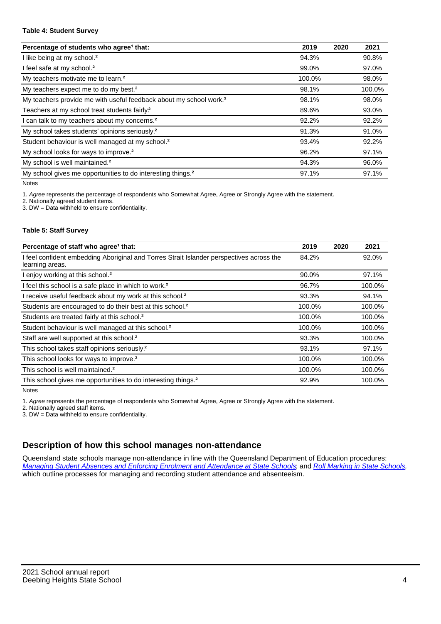#### **Table 4: Student Survey**

| Percentage of students who agree <sup>1</sup> that:                            | 2019   | 2020 | 2021   |
|--------------------------------------------------------------------------------|--------|------|--------|
| I like being at my school. <sup>2</sup>                                        | 94.3%  |      | 90.8%  |
| I feel safe at my school. <sup>2</sup>                                         | 99.0%  |      | 97.0%  |
| My teachers motivate me to learn. <sup>2</sup>                                 | 100.0% |      | 98.0%  |
| My teachers expect me to do my best. <sup>2</sup>                              | 98.1%  |      | 100.0% |
| My teachers provide me with useful feedback about my school work. <sup>2</sup> | 98.1%  |      | 98.0%  |
| Teachers at my school treat students fairly?                                   | 89.6%  |      | 93.0%  |
| I can talk to my teachers about my concerns. <sup>2</sup>                      | 92.2%  |      | 92.2%  |
| My school takes students' opinions seriously. <sup>2</sup>                     | 91.3%  |      | 91.0%  |
| Student behaviour is well managed at my school. <sup>2</sup>                   | 93.4%  |      | 92.2%  |
| My school looks for ways to improve. <sup>2</sup>                              | 96.2%  |      | 97.1%  |
| My school is well maintained. <sup>2</sup>                                     | 94.3%  |      | 96.0%  |
| My school gives me opportunities to do interesting things. <sup>2</sup>        | 97.1%  |      | 97.1%  |

Notes

1. Agree represents the percentage of respondents who Somewhat Agree, Agree or Strongly Agree with the statement.

2. Nationally agreed student items.

3. DW = Data withheld to ensure confidentiality.

#### **Table 5: Staff Survey**

| Percentage of staff who agree <sup>1</sup> that:                                                            | 2019   | 2020 | 2021   |
|-------------------------------------------------------------------------------------------------------------|--------|------|--------|
| I feel confident embedding Aboriginal and Torres Strait Islander perspectives across the<br>learning areas. | 84.2%  |      | 92.0%  |
| I enjoy working at this school. <sup>2</sup>                                                                | 90.0%  |      | 97.1%  |
| I feel this school is a safe place in which to work. <sup>2</sup>                                           | 96.7%  |      | 100.0% |
| I receive useful feedback about my work at this school. <sup>2</sup>                                        | 93.3%  |      | 94.1%  |
| Students are encouraged to do their best at this school. <sup>2</sup>                                       | 100.0% |      | 100.0% |
| Students are treated fairly at this school. <sup>2</sup>                                                    | 100.0% |      | 100.0% |
| Student behaviour is well managed at this school. <sup>2</sup>                                              | 100.0% |      | 100.0% |
| Staff are well supported at this school. <sup>2</sup>                                                       | 93.3%  |      | 100.0% |
| This school takes staff opinions seriously. <sup>2</sup>                                                    | 93.1%  |      | 97.1%  |
| This school looks for ways to improve. <sup>2</sup>                                                         | 100.0% |      | 100.0% |
| This school is well maintained. <sup>2</sup>                                                                | 100.0% |      | 100.0% |
| This school gives me opportunities to do interesting things. <sup>2</sup>                                   | 92.9%  |      | 100.0% |

Notes

1. Agree represents the percentage of respondents who Somewhat Agree, Agree or Strongly Agree with the statement.

2. Nationally agreed staff items.

3. DW = Data withheld to ensure confidentiality.

## **Description of how this school manages non-attendance**

Queensland state schools manage non-attendance in line with the Queensland Department of Education procedures: [Managing Student Absences and Enforcing Enrolment and Attendance at State Schools](https://ppr.qed.qld.gov.au/pp/managing-student-absences-and-enforcing-enrolment-and-attendance-at-state-schools-procedure); and [Roll Marking in State Schools](https://ppr.qed.qld.gov.au/pp/roll-marking-in-state-schools-procedure), which outline processes for managing and recording student attendance and absenteeism.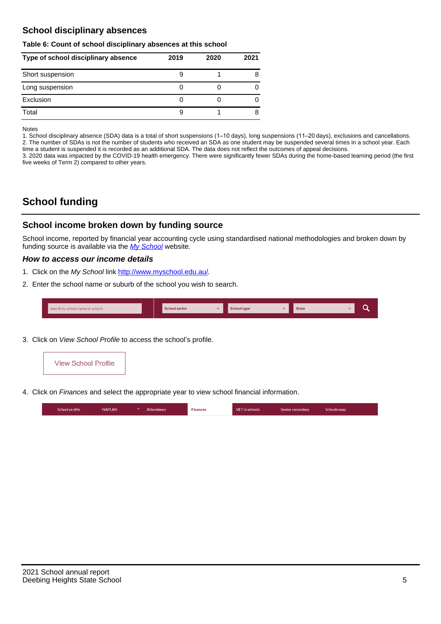## **School disciplinary absences**

#### **Table 6: Count of school disciplinary absences at this school**

| Type of school disciplinary absence | 2019 | 2020 | 2021 |
|-------------------------------------|------|------|------|
| Short suspension                    |      |      | 8    |
| Long suspension                     |      |      |      |
| Exclusion                           |      |      |      |
| Total                               |      |      | 8    |

Notes

1. School disciplinary absence (SDA) data is a total of short suspensions (1–10 days), long suspensions (11–20 days), exclusions and cancellations. 2. The number of SDAs is not the number of students who received an SDA as one student may be suspended several times in a school year. Each time a student is suspended it is recorded as an additional SDA. The data does not reflect the outcomes of appeal decisions.

3. 2020 data was impacted by the COVID-19 health emergency. There were significantly fewer SDAs during the home-based learning period (the first five weeks of Term 2) compared to other years.

# **School funding**

### **School income broken down by funding source**

School income, reported by financial year accounting cycle using standardised national methodologies and broken down by funding source is available via the [My School](http://www.myschool.edu.au/) website.

#### **How to access our income details**

- 1. Click on the My School link [http://www.myschool.edu.au/.](http://www.myschool.edu.au/)
- 2. Enter the school name or suburb of the school you wish to search.

| Search by school name or suburb | <b>School sector</b> | school type | <b>State</b> |  |
|---------------------------------|----------------------|-------------|--------------|--|
|                                 |                      |             |              |  |

3. Click on View School Profile to access the school's profile.



4. Click on Finances and select the appropriate year to view school financial information.

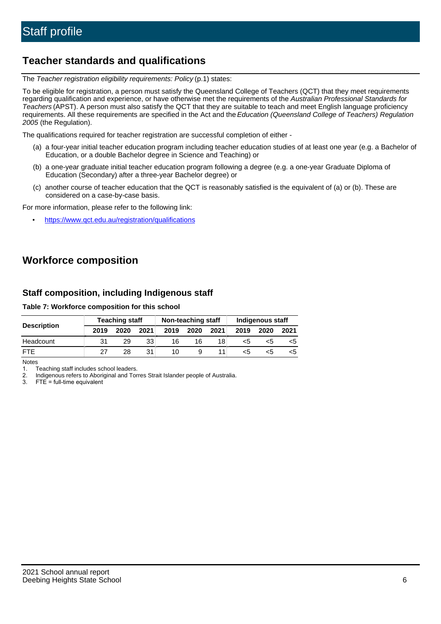# **Teacher standards and qualifications**

The Teacher registration eligibility requirements: Policy (p.1) states:

To be eligible for registration, a person must satisfy the Queensland College of Teachers (QCT) that they meet requirements regarding qualification and experience, or have otherwise met the requirements of the Australian Professional Standards for Teachers (APST). A person must also satisfy the QCT that they are suitable to teach and meet English language proficiency requirements. All these requirements are specified in the Act and the Education (Queensland College of Teachers) Regulation 2005 (the Regulation).

The qualifications required for teacher registration are successful completion of either -

- (a) a four-year initial teacher education program including teacher education studies of at least one year (e.g. a Bachelor of Education, or a double Bachelor degree in Science and Teaching) or
- (b) a one-year graduate initial teacher education program following a degree (e.g. a one-year Graduate Diploma of Education (Secondary) after a three-year Bachelor degree) or
- (c) another course of teacher education that the QCT is reasonably satisfied is the equivalent of (a) or (b). These are considered on a case-by-case basis.

For more information, please refer to the following link:

• <https://www.qct.edu.au/registration/qualifications>

# **Workforce composition**

## **Staff composition, including Indigenous staff**

#### **Table 7: Workforce composition for this school**

|                    | <b>Teaching staff</b> |      |      | Non-teaching staff |      |                 | Indigenous staff |      |      |  |
|--------------------|-----------------------|------|------|--------------------|------|-----------------|------------------|------|------|--|
| <b>Description</b> | 2019                  | 2020 | 2021 | 2019               | 2020 | 2021            | 2019             | 2020 | 2021 |  |
| Headcount          | 31                    | 29   | 33   | 16                 | 16   | 18 <sub>1</sub> | <5               | כ>   |      |  |
| <b>FTF</b>         | 27                    | 28   | 31   | 10                 | 9    |                 | <5               | ה>   |      |  |

Notes

1. Teaching staff includes school leaders.

2. Indigenous refers to Aboriginal and Torres Strait Islander people of Australia.

3. FTE = full-time equivalent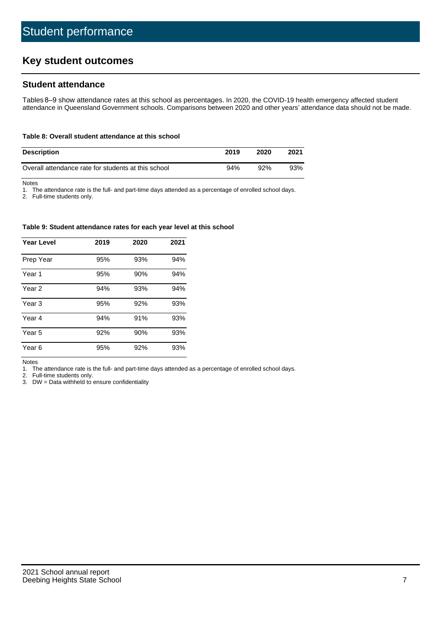# **Key student outcomes**

## **Student attendance**

Tables 8–9 show attendance rates at this school as percentages. In 2020, the COVID-19 health emergency affected student attendance in Queensland Government schools. Comparisons between 2020 and other years' attendance data should not be made.

#### **Table 8: Overall student attendance at this school**

| <b>Description</b>                                  | 2019 | 2020 | 2021 |
|-----------------------------------------------------|------|------|------|
| Overall attendance rate for students at this school | 94%  | 92%  | 93%  |

Notes

1. The attendance rate is the full- and part-time days attended as a percentage of enrolled school days.

2. Full-time students only.

#### **Table 9: Student attendance rates for each year level at this school**

| <b>Year Level</b> | 2019 | 2020 | 2021 |
|-------------------|------|------|------|
| Prep Year         | 95%  | 93%  | 94%  |
| Year 1            | 95%  | 90%  | 94%  |
| Year 2            | 94%  | 93%  | 94%  |
| Year <sub>3</sub> | 95%  | 92%  | 93%  |
| Year 4            | 94%  | 91%  | 93%  |
| Year 5            | 92%  | 90%  | 93%  |
| Year <sub>6</sub> | 95%  | 92%  | 93%  |

Notes

1. The attendance rate is the full- and part-time days attended as a percentage of enrolled school days.<br>2. Full-time students only.

Full-time students only.

3. DW = Data withheld to ensure confidentiality